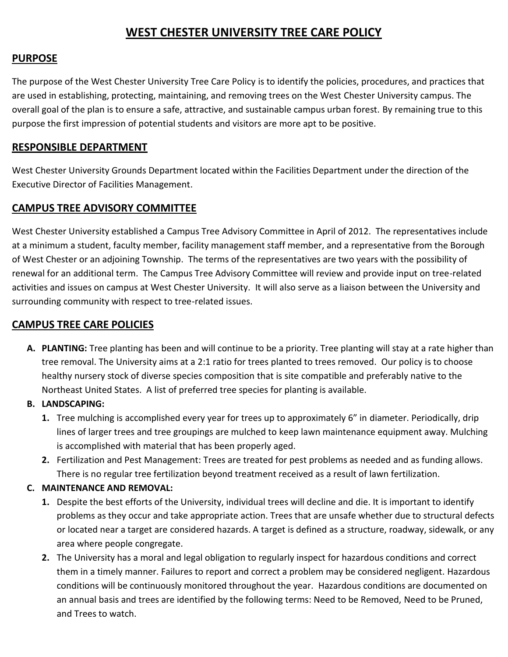# **WEST CHESTER UNIVERSITY TREE CARE POLICY**

#### **PURPOSE**

The purpose of the West Chester University Tree Care Policy is to identify the policies, procedures, and practices that are used in establishing, protecting, maintaining, and removing trees on the West Chester University campus. The overall goal of the plan is to ensure a safe, attractive, and sustainable campus urban forest. By remaining true to this purpose the first impression of potential students and visitors are more apt to be positive.

#### **RESPONSIBLE DEPARTMENT**

West Chester University Grounds Department located within the Facilities Department under the direction of the Executive Director of Facilities Management.

### **CAMPUS TREE ADVISORY COMMITTEE**

West Chester University established a Campus Tree Advisory Committee in April of 2012. The representatives include at a minimum a student, faculty member, facility management staff member, and a representative from the Borough of West Chester or an adjoining Township. The terms of the representatives are two years with the possibility of renewal for an additional term. The Campus Tree Advisory Committee will review and provide input on tree-related activities and issues on campus at West Chester University. It will also serve as a liaison between the University and surrounding community with respect to tree-related issues.

## **CAMPUS TREE CARE POLICIES**

- **A. PLANTING:** Tree planting has been and will continue to be a priority. Tree planting will stay at a rate higher than tree removal. The University aims at a 2:1 ratio for trees planted to trees removed. Our policy is to choose healthy nursery stock of diverse species composition that is site compatible and preferably native to the Northeast United States. A list of preferred tree species for planting is available.
- **B. LANDSCAPING:**
	- **1.** Tree mulching is accomplished every year for trees up to approximately 6" in diameter. Periodically, drip lines of larger trees and tree groupings are mulched to keep lawn maintenance equipment away. Mulching is accomplished with material that has been properly aged.
	- **2.** Fertilization and Pest Management: Trees are treated for pest problems as needed and as funding allows. There is no regular tree fertilization beyond treatment received as a result of lawn fertilization.

#### **C. MAINTENANCE AND REMOVAL:**

- **1.** Despite the best efforts of the University, individual trees will decline and die. It is important to identify problems as they occur and take appropriate action. Trees that are unsafe whether due to structural defects or located near a target are considered hazards. A target is defined as a structure, roadway, sidewalk, or any area where people congregate.
- **2.** The University has a moral and legal obligation to regularly inspect for hazardous conditions and correct them in a timely manner. Failures to report and correct a problem may be considered negligent. Hazardous conditions will be continuously monitored throughout the year. Hazardous conditions are documented on an annual basis and trees are identified by the following terms: Need to be Removed, Need to be Pruned, and Trees to watch.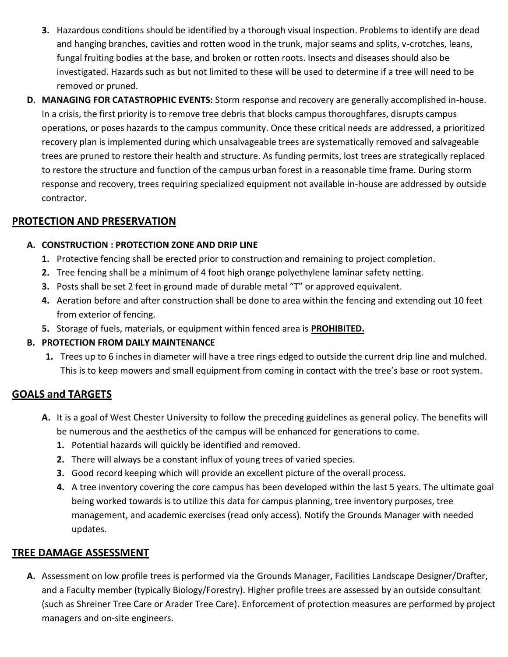- **3.** Hazardous conditions should be identified by a thorough visual inspection. Problems to identify are dead and hanging branches, cavities and rotten wood in the trunk, major seams and splits, v-crotches, leans, fungal fruiting bodies at the base, and broken or rotten roots. Insects and diseases should also be investigated. Hazards such as but not limited to these will be used to determine if a tree will need to be removed or pruned.
- **D. MANAGING FOR CATASTROPHIC EVENTS:** Storm response and recovery are generally accomplished in-house. In a crisis, the first priority is to remove tree debris that blocks campus thoroughfares, disrupts campus operations, or poses hazards to the campus community. Once these critical needs are addressed, a prioritized recovery plan is implemented during which unsalvageable trees are systematically removed and salvageable trees are pruned to restore their health and structure. As funding permits, lost trees are strategically replaced to restore the structure and function of the campus urban forest in a reasonable time frame. During storm response and recovery, trees requiring specialized equipment not available in-house are addressed by outside contractor.

### **PROTECTION AND PRESERVATION**

#### **A. CONSTRUCTION : PROTECTION ZONE AND DRIP LINE**

- **1.** Protective fencing shall be erected prior to construction and remaining to project completion.
- **2.** Tree fencing shall be a minimum of 4 foot high orange polyethylene laminar safety netting.
- **3.** Posts shall be set 2 feet in ground made of durable metal "T" or approved equivalent.
- **4.** Aeration before and after construction shall be done to area within the fencing and extending out 10 feet from exterior of fencing.
- **5.** Storage of fuels, materials, or equipment within fenced area is **PROHIBITED.**

### **B. PROTECTION FROM DAILY MAINTENANCE**

**1.** Trees up to 6 inches in diameter will have a tree rings edged to outside the current drip line and mulched. This is to keep mowers and small equipment from coming in contact with the tree's base or root system.

## **GOALS and TARGETS**

- **A.** It is a goal of West Chester University to follow the preceding guidelines as general policy. The benefits will be numerous and the aesthetics of the campus will be enhanced for generations to come.
	- **1.** Potential hazards will quickly be identified and removed.
	- **2.** There will always be a constant influx of young trees of varied species.
	- **3.** Good record keeping which will provide an excellent picture of the overall process.
	- **4.** A tree inventory covering the core campus has been developed within the last 5 years. The ultimate goal being worked towards is to utilize this data for campus planning, tree inventory purposes, tree management, and academic exercises (read only access). Notify the Grounds Manager with needed updates.

## **TREE DAMAGE ASSESSMENT**

**A.** Assessment on low profile trees is performed via the Grounds Manager, Facilities Landscape Designer/Drafter, and a Faculty member (typically Biology/Forestry). Higher profile trees are assessed by an outside consultant (such as Shreiner Tree Care or Arader Tree Care). Enforcement of protection measures are performed by project managers and on-site engineers.